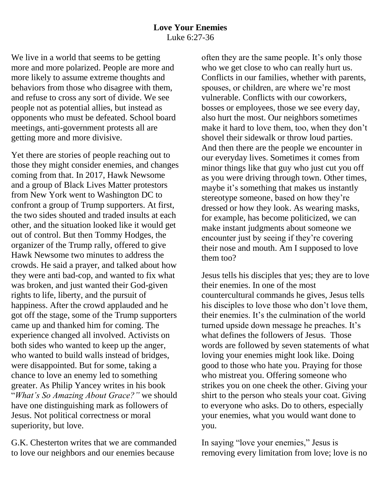We live in a world that seems to be getting more and more polarized. People are more and more likely to assume extreme thoughts and behaviors from those who disagree with them, and refuse to cross any sort of divide. We see people not as potential allies, but instead as opponents who must be defeated. School board meetings, anti-government protests all are getting more and more divisive.

Yet there are stories of people reaching out to those they might consider enemies, and changes coming from that. In 2017, Hawk Newsome and a group of Black Lives Matter protestors from New York went to Washington DC to confront a group of Trump supporters. At first, the two sides shouted and traded insults at each other, and the situation looked like it would get out of control. But then Tommy Hodges, the organizer of the Trump rally, offered to give Hawk Newsome two minutes to address the crowds. He said a prayer, and talked about how they were anti bad-cop, and wanted to fix what was broken, and just wanted their God-given rights to life, liberty, and the pursuit of happiness. After the crowd applauded and he got off the stage, some of the Trump supporters came up and thanked him for coming. The experience changed all involved. Activists on both sides who wanted to keep up the anger, who wanted to build walls instead of bridges, were disappointed. But for some, taking a chance to love an enemy led to something greater. As Philip Yancey writes in his book "*What's So Amazing About Grace?"* we should have one distinguishing mark as followers of Jesus. Not political correctness or moral superiority, but love.

G.K. Chesterton writes that we are commanded to love our neighbors and our enemies because

often they are the same people. It's only those who we get close to who can really hurt us. Conflicts in our families, whether with parents, spouses, or children, are where we're most vulnerable. Conflicts with our coworkers, bosses or employees, those we see every day, also hurt the most. Our neighbors sometimes make it hard to love them, too, when they don't shovel their sidewalk or throw loud parties. And then there are the people we encounter in our everyday lives. Sometimes it comes from minor things like that guy who just cut you off as you were driving through town. Other times, maybe it's something that makes us instantly stereotype someone, based on how they're dressed or how they look. As wearing masks, for example, has become politicized, we can make instant judgments about someone we encounter just by seeing if they're covering their nose and mouth. Am I supposed to love them too?

Jesus tells his disciples that yes; they are to love their enemies. In one of the most countercultural commands he gives, Jesus tells his disciples to love those who don't love them, their enemies. It's the culmination of the world turned upside down message he preaches. It's what defines the followers of Jesus. Those words are followed by seven statements of what loving your enemies might look like. Doing good to those who hate you. Praying for those who mistreat you. Offering someone who strikes you on one cheek the other. Giving your shirt to the person who steals your coat. Giving to everyone who asks. Do to others, especially your enemies, what you would want done to you.

In saying "love your enemies," Jesus is removing every limitation from love; love is no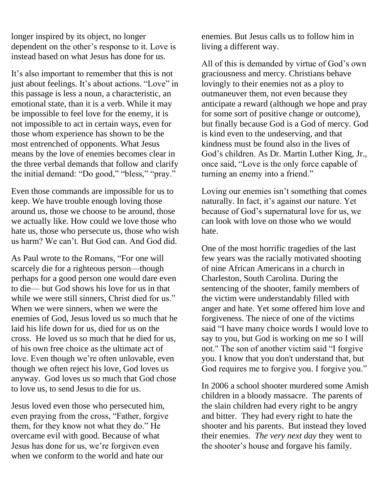longer inspired by its object, no longer dependent on the other's response to it. Love is instead based on what Jesus has done for us.

It's also important to remember that this is not just about feelings. It's about actions. "Love" in this passage is less a noun, a characteristic, an emotional state, than it is a verb. While it may be impossible to feel love for the enemy, it is not impossible to act in certain ways, even for those whom experience has shown to be the most entrenched of opponents. What Jesus means by the love of enemies becomes clear in the three verbal demands that follow and clarify the initial demand: "Do good," "bless," "pray."

Even those commands are impossible for us to keep. We have trouble enough loving those around us, those we choose to be around, those we actually like. How could we love those who hate us, those who persecute us, those who wish us harm? We can't. But God can. And God did.

As Paul wrote to the Romans, "For one will scarcely die for a righteous person—though perhaps for a good person one would dare even to die— but God shows his love for us in that while we were still sinners. Christ died for us." When we were sinners, when we were the enemies of God, Jesus loved us so much that he laid his life down for us, died for us on the cross. He loved us so much that he died for us, of his own free choice as the ultimate act of love. Even though we're often unlovable, even though we often reject his love, God loves us anyway. God loves us so much that God chose to love us, to send Jesus to die for us.

Jesus loved even those who persecuted him, even praying from the cross, "Father, forgive them, for they know not what they do." He overcame evil with good. Because of what Jesus has done for us, we're forgiven even when we conform to the world and hate our

enemies. But Jesus calls us to follow him in living a different way.

All of this is demanded by virtue of God's own graciousness and mercy. Christians behave lovingly to their enemies not as a ploy to outmaneuver them, not even because they anticipate a reward (although we hope and pray for some sort of positive change or outcome), but finally because God is a God of mercy. God is kind even to the undeserving, and that kindness must be found also in the lives of God's children. As Dr. Martin Luther King, Jr., once said, "Love is the only force capable of turning an enemy into a friend."

Loving our enemies isn't something that comes naturally. In fact, it's against our nature. Yet because of God's supernatural love for us, we can look with love on those who we would hate.

One of the most horrific tragedies of the last few years was the racially motivated shooting of nine African Americans in a church in Charleston, South Carolina. During the sentencing of the shooter, family members of the victim were understandably filled with anger and hate. Yet some offered him love and forgiveness. The niece of one of the victims said "I have many choice words I would love to say to you, but God is working on me so I will not." The son of another victim said "I forgive you. I know that you don't understand that, but God requires me to forgive you. I forgive you."

In 2006 a school shooter murdered some Amish children in a bloody massacre. The parents of the slain children had every right to be angry and bitter. They had every right to hate the shooter and his parents. But instead they loved their enemies. *The very next day* they went to the shooter's house and forgave his family.